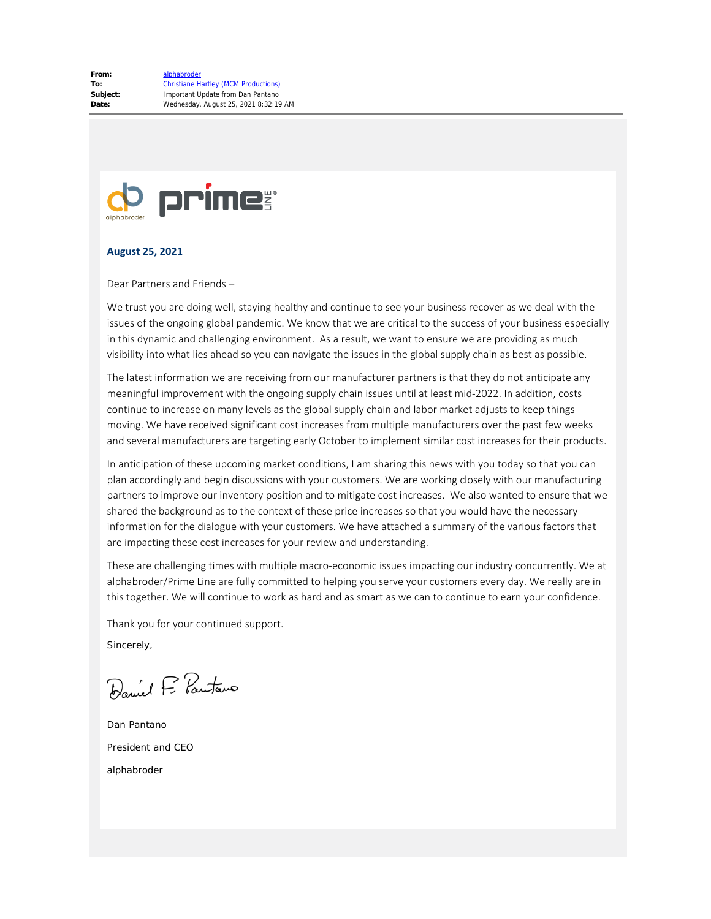

#### **August 25, 2021**

Dear Partners and Friends –

We trust you are doing well, staying healthy and continue to see your business recover as we deal with the issues of the ongoing global pandemic. We know that we are critical to the success of your business especially in this dynamic and challenging environment. As a result, we want to ensure we are providing as much visibility into what lies ahead so you can navigate the issues in the global supply chain as best as possible.

The latest information we are receiving from our manufacturer partners is that they do not anticipate any meaningful improvement with the ongoing supply chain issues until at least mid-2022. In addition, costs continue to increase on many levels as the global supply chain and labor market adjusts to keep things moving. We have received significant cost increases from multiple manufacturers over the past few weeks and several manufacturers are targeting early October to implement similar cost increases for their products.

In anticipation of these upcoming market conditions, I am sharing this news with you today so that you can plan accordingly and begin discussions with your customers. We are working closely with our manufacturing partners to improve our inventory position and to mitigate cost increases. We also wanted to ensure that we shared the background as to the context of these price increases so that you would have the necessary information for the dialogue with your customers. We have attached a summary of the various factors that are impacting these cost increases for your review and understanding.

These are challenging times with multiple macro-economic issues impacting our industry concurrently. We at alphabroder/Prime Line are fully committed to helping you serve your customers every day. We really are in this together. We will continue to work as hard and as smart as we can to continue to earn your confidence.

Thank you for your continued support.

Sincerely,

Daniel F. Pautano

Dan Pantano President and CEO alphabroder